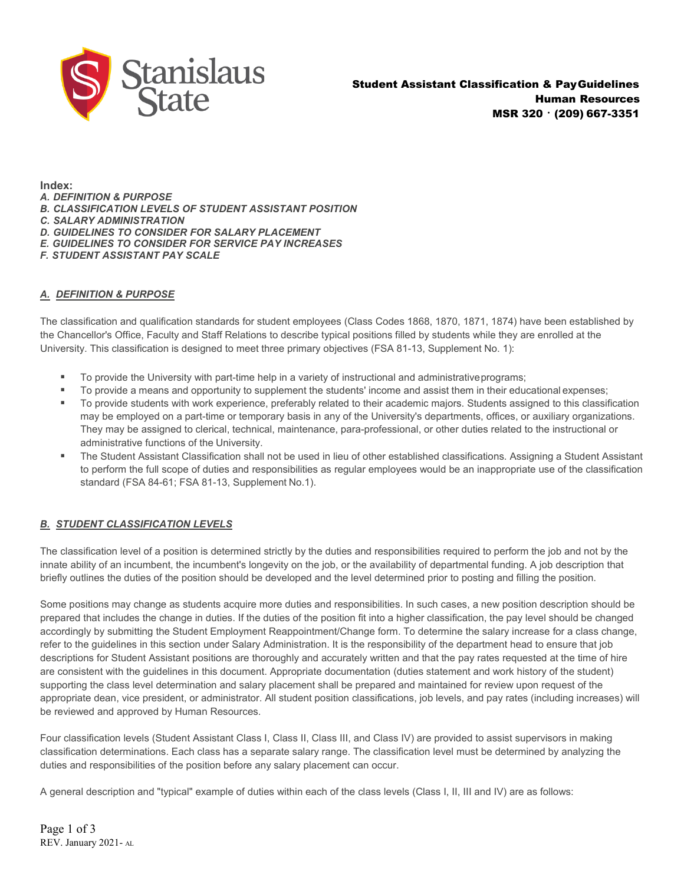

**Index:** *A. DEFINITION & PURPOSE B. CLASSIFICATION LEVELS OF STUDENT ASSISTANT POSITION C. SALARY ADMINISTRATION D. GUIDELINES TO CONSIDER FOR SALARY PLACEMENT E. GUIDELINES TO CONSIDER FOR SERVICE PAY INCREASES F. STUDENT ASSISTANT PAY SCALE*

# *A. DEFINITION & PURPOSE*

The classification and qualification standards for student employees (Class Codes 1868, 1870, 1871, 1874) have been established by the Chancellor's Office, Faculty and Staff Relations to describe typical positions filled by students while they are enrolled at the University. This classification is designed to meet three primary objectives (FSA 81-13, Supplement No. 1):

- To provide the University with part-time help in a variety of instructional and administrativeprograms;
- To provide a means and opportunity to supplement the students' income and assist them in their educational expenses;
- To provide students with work experience, preferably related to their academic majors. Students assigned to this classification may be employed on a part-time or temporary basis in any of the University's departments, offices, or auxiliary organizations. They may be assigned to clerical, technical, maintenance, para-professional, or other duties related to the instructional or administrative functions of the University.
- The Student Assistant Classification shall not be used in lieu of other established classifications. Assigning a Student Assistant to perform the full scope of duties and responsibilities as regular employees would be an inappropriate use of the classification standard (FSA 84-61; FSA 81-13, Supplement No.1).

### *B. STUDENT CLASSIFICATION LEVELS*

The classification level of a position is determined strictly by the duties and responsibilities required to perform the job and not by the innate ability of an incumbent, the incumbent's longevity on the job, or the availability of departmental funding. A job description that briefly outlines the duties of the position should be developed and the level determined prior to posting and filling the position.

Some positions may change as students acquire more duties and responsibilities. In such cases, a new position description should be prepared that includes the change in duties. If the duties of the position fit into a higher classification, the pay level should be changed accordingly by submitting the Student Employment Reappointment/Change form. To determine the salary increase for a class change, refer to the guidelines in this section under Salary Administration. It is the responsibility of the department head to ensure that job descriptions for Student Assistant positions are thoroughly and accurately written and that the pay rates requested at the time of hire are consistent with the guidelines in this document. Appropriate documentation (duties statement and work history of the student) supporting the class level determination and salary placement shall be prepared and maintained for review upon request of the appropriate dean, vice president, or administrator. All student position classifications, job levels, and pay rates (including increases) will be reviewed and approved by Human Resources.

Four classification levels (Student Assistant Class I, Class II, Class III, and Class IV) are provided to assist supervisors in making classification determinations. Each class has a separate salary range. The classification level must be determined by analyzing the duties and responsibilities of the position before any salary placement can occur.

A general description and "typical" example of duties within each of the class levels (Class I, II, III and IV) are as follows:

Page 1 of 3 REV. January 2021- AL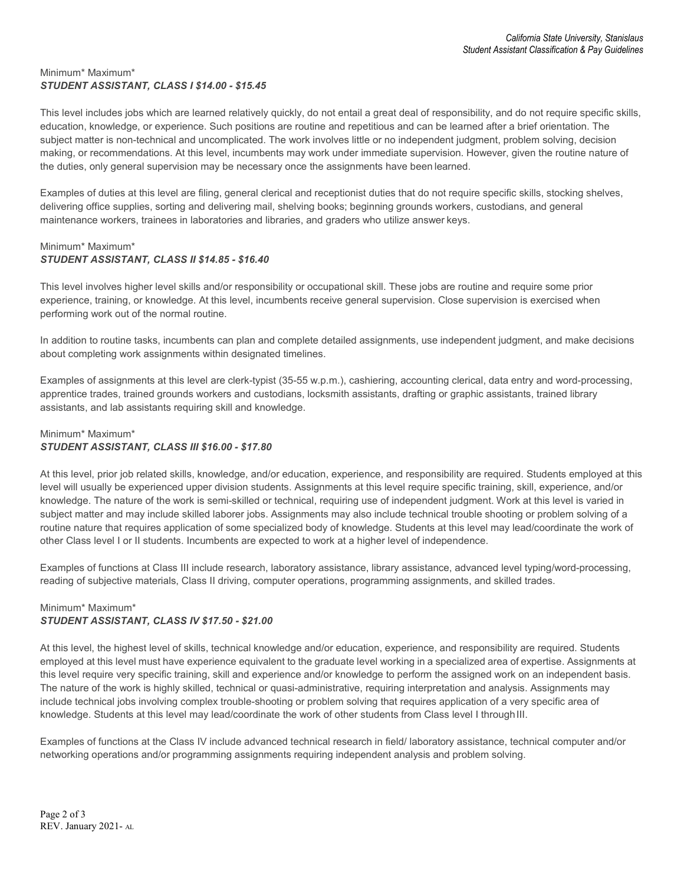#### Minimum\* Maximum\* *STUDENT ASSISTANT, CLASS I \$14.00 - \$15.45*

This level includes jobs which are learned relatively quickly, do not entail a great deal of responsibility, and do not require specific skills, education, knowledge, or experience. Such positions are routine and repetitious and can be learned after a brief orientation. The subject matter is non-technical and uncomplicated. The work involves little or no independent judgment, problem solving, decision making, or recommendations. At this level, incumbents may work under immediate supervision. However, given the routine nature of the duties, only general supervision may be necessary once the assignments have been learned.

Examples of duties at this level are filing, general clerical and receptionist duties that do not require specific skills, stocking shelves, delivering office supplies, sorting and delivering mail, shelving books; beginning grounds workers, custodians, and general maintenance workers, trainees in laboratories and libraries, and graders who utilize answer keys.

### Minimum\* Maximum\* *STUDENT ASSISTANT, CLASS II \$14.85 - \$16.40*

This level involves higher level skills and/or responsibility or occupational skill. These jobs are routine and require some prior experience, training, or knowledge. At this level, incumbents receive general supervision. Close supervision is exercised when performing work out of the normal routine.

In addition to routine tasks, incumbents can plan and complete detailed assignments, use independent judgment, and make decisions about completing work assignments within designated timelines.

Examples of assignments at this level are clerk-typist (35-55 w.p.m.), cashiering, accounting clerical, data entry and word-processing, apprentice trades, trained grounds workers and custodians, locksmith assistants, drafting or graphic assistants, trained library assistants, and lab assistants requiring skill and knowledge.

## Minimum\* Maximum\* *STUDENT ASSISTANT, CLASS III \$16.00 - \$17.80*

At this level, prior job related skills, knowledge, and/or education, experience, and responsibility are required. Students employed at this level will usually be experienced upper division students. Assignments at this level require specific training, skill, experience, and/or knowledge. The nature of the work is semi-skilled or technical, requiring use of independent judgment. Work at this level is varied in subject matter and may include skilled laborer jobs. Assignments may also include technical trouble shooting or problem solving of a routine nature that requires application of some specialized body of knowledge. Students at this level may lead/coordinate the work of other Class level I or II students. Incumbents are expected to work at a higher level of independence.

Examples of functions at Class III include research, laboratory assistance, library assistance, advanced level typing/word-processing, reading of subjective materials, Class II driving, computer operations, programming assignments, and skilled trades.

# Minimum\* Maximum\* *STUDENT ASSISTANT, CLASS IV \$17.50 - \$21.00*

At this level, the highest level of skills, technical knowledge and/or education, experience, and responsibility are required. Students employed at this level must have experience equivalent to the graduate level working in a specialized area of expertise. Assignments at this level require very specific training, skill and experience and/or knowledge to perform the assigned work on an independent basis. The nature of the work is highly skilled, technical or quasi-administrative, requiring interpretation and analysis. Assignments may include technical jobs involving complex trouble-shooting or problem solving that requires application of a very specific area of knowledge. Students at this level may lead/coordinate the work of other students from Class level I throughIII.

Examples of functions at the Class IV include advanced technical research in field/ laboratory assistance, technical computer and/or networking operations and/or programming assignments requiring independent analysis and problem solving.